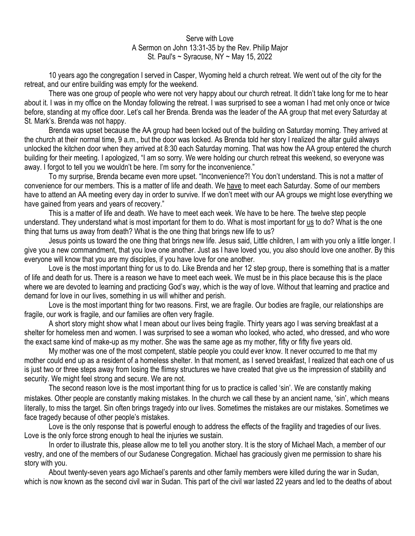## Serve with Love A Sermon on John 13:31-35 by the Rev. Philip Major St. Paul's ~ Syracuse, NY ~ May 15, 2022

10 years ago the congregation I served in Casper, Wyoming held a church retreat. We went out of the city for the retreat, and our entire building was empty for the weekend.

There was one group of people who were not very happy about our church retreat. It didn't take long for me to hear about it. I was in my office on the Monday following the retreat. I was surprised to see a woman I had met only once or twice before, standing at my office door. Let's call her Brenda. Brenda was the leader of the AA group that met every Saturday at St. Mark's. Brenda was not happy.

Brenda was upset because the AA group had been locked out of the building on Saturday morning. They arrived at the church at their normal time, 9 a.m., but the door was locked. As Brenda told her story I realized the altar guild always unlocked the kitchen door when they arrived at 8:30 each Saturday morning. That was how the AA group entered the church building for their meeting. I apologized, "I am so sorry. We were holding our church retreat this weekend, so everyone was away. I forgot to tell you we wouldn't be here. I'm sorry for the inconvenience."

To my surprise, Brenda became even more upset. "Inconvenience?! You don't understand. This is not a matter of convenience for our members. This is a matter of life and death. We have to meet each Saturday. Some of our members have to attend an AA meeting every day in order to survive. If we don't meet with our AA groups we might lose everything we have gained from years and years of recovery."

This is a matter of life and death. We have to meet each week. We have to be here. The twelve step people understand. They understand what is most important for them to do. What is most important for us to do? What is the one thing that turns us away from death? What is the one thing that brings new life to us?

Jesus points us toward the one thing that brings new life. Jesus said, Little children, I am with you only a little longer. I give you a new commandment, that you love one another. Just as I have loved you, you also should love one another. By this everyone will know that you are my disciples, if you have love for one another.

Love is the most important thing for us to do. Like Brenda and her 12 step group, there is something that is a matter of life and death for us. There is a reason we have to meet each week. We must be in this place because this is the place where we are devoted to learning and practicing God's way, which is the way of love. Without that learning and practice and demand for love in our lives, something in us will whither and perish.

Love is the most important thing for two reasons. First, we are fragile. Our bodies are fragile, our relationships are fragile, our work is fragile, and our families are often very fragile.

A short story might show what I mean about our lives being fragile. Thirty years ago I was serving breakfast at a shelter for homeless men and women. I was surprised to see a woman who looked, who acted, who dressed, and who wore the exact same kind of make-up as my mother. She was the same age as my mother, fifty or fifty five years old.

My mother was one of the most competent, stable people you could ever know. It never occurred to me that my mother could end up as a resident of a homeless shelter. In that moment, as I served breakfast, I realized that each one of us is just two or three steps away from losing the flimsy structures we have created that give us the impression of stability and security. We might feel strong and secure. We are not.

The second reason love is the most important thing for us to practice is called 'sin'. We are constantly making mistakes. Other people are constantly making mistakes. In the church we call these by an ancient name, 'sin', which means literally, to miss the target. Sin often brings tragedy into our lives. Sometimes the mistakes are our mistakes. Sometimes we face tragedy because of other people's mistakes.

Love is the only response that is powerful enough to address the effects of the fragility and tragedies of our lives. Love is the only force strong enough to heal the injuries we sustain.

In order to illustrate this, please allow me to tell you another story. It is the story of Michael Mach, a member of our vestry, and one of the members of our Sudanese Congregation. Michael has graciously given me permission to share his story with you.

About twenty-seven years ago Michael's parents and other family members were killed during the war in Sudan, which is now known as the second civil war in Sudan. This part of the civil war lasted 22 years and led to the deaths of about